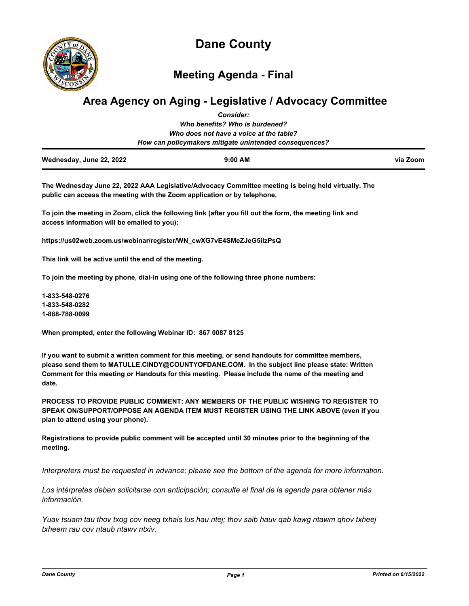

**Dane County**

**Meeting Agenda - Final**

# **Area Agency on Aging - Legislative / Advocacy Committee**

|                          | <b>Consider:</b>                                       |          |
|--------------------------|--------------------------------------------------------|----------|
|                          | Who benefits? Who is burdened?                         |          |
|                          | Who does not have a voice at the table?                |          |
|                          | How can policymakers mitigate unintended consequences? |          |
| Wednesday, June 22, 2022 | $9:00$ AM                                              | via Zoom |

**The Wednesday June 22, 2022 AAA Legislative/Advocacy Committee meeting is being held virtually. The public can access the meeting with the Zoom application or by telephone.** 

**To join the meeting in Zoom, click the following link (after you fill out the form, the meeting link and access information will be emailed to you):** 

**https://us02web.zoom.us/webinar/register/WN\_cwXG7vE4SMeZJeG5iIzPsQ**

**This link will be active until the end of the meeting.** 

**To join the meeting by phone, dial-in using one of the following three phone numbers:** 

**1-833-548-0276 1-833-548-0282 1-888-788-0099**

**When prompted, enter the following Webinar ID: 867 0087 8125**

**If you want to submit a written comment for this meeting, or send handouts for committee members, please send them to MATULLE.CINDY@COUNTYOFDANE.COM. In the subject line please state: Written Comment for this meeting or Handouts for this meeting. Please include the name of the meeting and date.**

**PROCESS TO PROVIDE PUBLIC COMMENT: ANY MEMBERS OF THE PUBLIC WISHING TO REGISTER TO SPEAK ON/SUPPORT/OPPOSE AN AGENDA ITEM MUST REGISTER USING THE LINK ABOVE (even if you plan to attend using your phone).** 

**Registrations to provide public comment will be accepted until 30 minutes prior to the beginning of the meeting.**

*Interpreters must be requested in advance; please see the bottom of the agenda for more information.*

*Los intérpretes deben solicitarse con anticipación; consulte el final de la agenda para obtener más información.*

*Yuav tsuam tau thov txog cov neeg txhais lus hau ntej; thov saib hauv qab kawg ntawm qhov txheej txheem rau cov ntaub ntawv ntxiv.*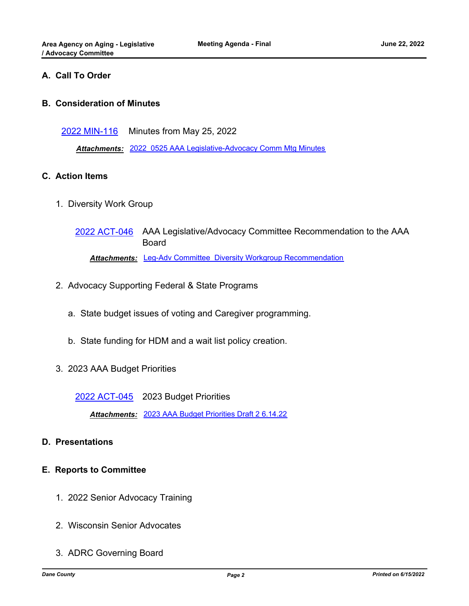# **A. Call To Order**

#### **B. Consideration of Minutes**

[2022 MIN-116](http://dane.legistar.com/gateway.aspx?m=l&id=/matter.aspx?key=23079) Minutes from May 25, 2022

*Attachments:* [2022\\_0525 AAA Legislative-Advocacy Comm Mtg Minutes](http://dane.legistar.com/gateway.aspx?M=F&ID=ff7e2233-c929-4eac-ab5a-159a98288da6.pdf)

#### **C. Action Items**

1. Diversity Work Group

[2022 ACT-046](http://dane.legistar.com/gateway.aspx?m=l&id=/matter.aspx?key=23085) AAA Legislative/Advocacy Committee Recommendation to the AAA Board *Attachments:* [Leg-Adv Committee\\_Diversity Workgroup Recommendation](http://dane.legistar.com/gateway.aspx?M=F&ID=feaec292-33ea-42a2-91ee-d64c7bcad37a.doc)

- 2. Advocacy Supporting Federal & State Programs
	- a. State budget issues of voting and Caregiver programming.
	- b. State funding for HDM and a wait list policy creation.
- 3. 2023 AAA Budget Priorities

[2022 ACT-045](http://dane.legistar.com/gateway.aspx?m=l&id=/matter.aspx?key=23081) 2023 Budget Priorities

*Attachments:* [2023 AAA Budget Priorities Draft 2 6.14.22](http://dane.legistar.com/gateway.aspx?M=F&ID=465ff2b5-5eb9-4a2c-955f-89662944637d.docx)

# **D. Presentations**

# **E. Reports to Committee**

- 1. 2022 Senior Advocacy Training
- 2. Wisconsin Senior Advocates
- 3. ADRC Governing Board